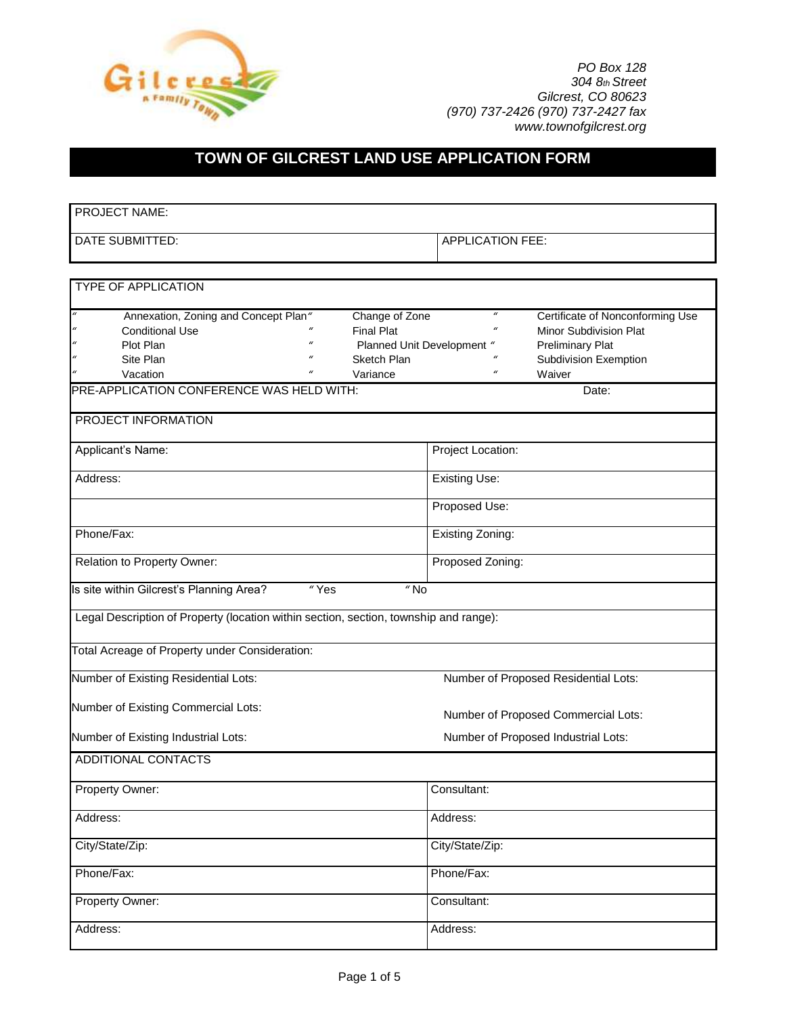

## **TOWN OF GILCREST LAND USE APPLICATION FORM**

 $\overline{\phantom{a}}$ 

| <b>PROJECT NAME:</b>                                                                                                                                                                                                                                                                                                                          |                                                                                                                                                                                                                     |  |  |  |
|-----------------------------------------------------------------------------------------------------------------------------------------------------------------------------------------------------------------------------------------------------------------------------------------------------------------------------------------------|---------------------------------------------------------------------------------------------------------------------------------------------------------------------------------------------------------------------|--|--|--|
| DATE SUBMITTED:                                                                                                                                                                                                                                                                                                                               | <b>APPLICATION FEE:</b>                                                                                                                                                                                             |  |  |  |
|                                                                                                                                                                                                                                                                                                                                               |                                                                                                                                                                                                                     |  |  |  |
| <b>TYPE OF APPLICATION</b>                                                                                                                                                                                                                                                                                                                    |                                                                                                                                                                                                                     |  |  |  |
| $\overline{\boldsymbol{z}}$<br>Annexation, Zoning and Concept Plan"<br>Change of Zone<br>$\boldsymbol{\mathcal{U}}$<br><b>Conditional Use</b><br><b>Final Plat</b><br>$\mathcal{U}$<br>Planned Unit Development<br>Plot Plan<br>$\mathbf{u}$<br>Site Plan<br>Sketch Plan<br>Vacation<br>Variance<br>PRE-APPLICATION CONFERENCE WAS HELD WITH: | $\boldsymbol{u}$<br>Certificate of Nonconforming Use<br>$\mathbf{u}$<br>Minor Subdivision Plat<br><b>Preliminary Plat</b><br>$\mathbf{u}$<br>Subdivision Exemption<br>$\boldsymbol{\mathcal{U}}$<br>Waiver<br>Date: |  |  |  |
| PROJECT INFORMATION                                                                                                                                                                                                                                                                                                                           |                                                                                                                                                                                                                     |  |  |  |
| Applicant's Name:                                                                                                                                                                                                                                                                                                                             | Project Location:                                                                                                                                                                                                   |  |  |  |
| Address:                                                                                                                                                                                                                                                                                                                                      | <b>Existing Use:</b>                                                                                                                                                                                                |  |  |  |
|                                                                                                                                                                                                                                                                                                                                               | Proposed Use:                                                                                                                                                                                                       |  |  |  |
| Phone/Fax:                                                                                                                                                                                                                                                                                                                                    | Existing Zoning:                                                                                                                                                                                                    |  |  |  |
| Relation to Property Owner:                                                                                                                                                                                                                                                                                                                   | Proposed Zoning:                                                                                                                                                                                                    |  |  |  |
| $\sqrt{\frac{2}{10}}$<br>Is site within Gilcrest's Planning Area?<br>"Yes                                                                                                                                                                                                                                                                     |                                                                                                                                                                                                                     |  |  |  |
| Legal Description of Property (location within section, section, township and range):                                                                                                                                                                                                                                                         |                                                                                                                                                                                                                     |  |  |  |
| Total Acreage of Property under Consideration:                                                                                                                                                                                                                                                                                                |                                                                                                                                                                                                                     |  |  |  |
| Number of Existing Residential Lots:                                                                                                                                                                                                                                                                                                          | Number of Proposed Residential Lots:                                                                                                                                                                                |  |  |  |
| Number of Existing Commercial Lots:                                                                                                                                                                                                                                                                                                           | Number of Proposed Commercial Lots:                                                                                                                                                                                 |  |  |  |
| Number of Existing Industrial Lots:                                                                                                                                                                                                                                                                                                           | Number of Proposed Industrial Lots:                                                                                                                                                                                 |  |  |  |
| ADDITIONAL CONTACTS                                                                                                                                                                                                                                                                                                                           |                                                                                                                                                                                                                     |  |  |  |
| Property Owner:                                                                                                                                                                                                                                                                                                                               | Consultant:                                                                                                                                                                                                         |  |  |  |
| Address:                                                                                                                                                                                                                                                                                                                                      | Address:                                                                                                                                                                                                            |  |  |  |
| City/State/Zip:                                                                                                                                                                                                                                                                                                                               | City/State/Zip:                                                                                                                                                                                                     |  |  |  |
| Phone/Fax:                                                                                                                                                                                                                                                                                                                                    | Phone/Fax:                                                                                                                                                                                                          |  |  |  |
| Property Owner:                                                                                                                                                                                                                                                                                                                               | Consultant:                                                                                                                                                                                                         |  |  |  |
| Address:                                                                                                                                                                                                                                                                                                                                      | Address:                                                                                                                                                                                                            |  |  |  |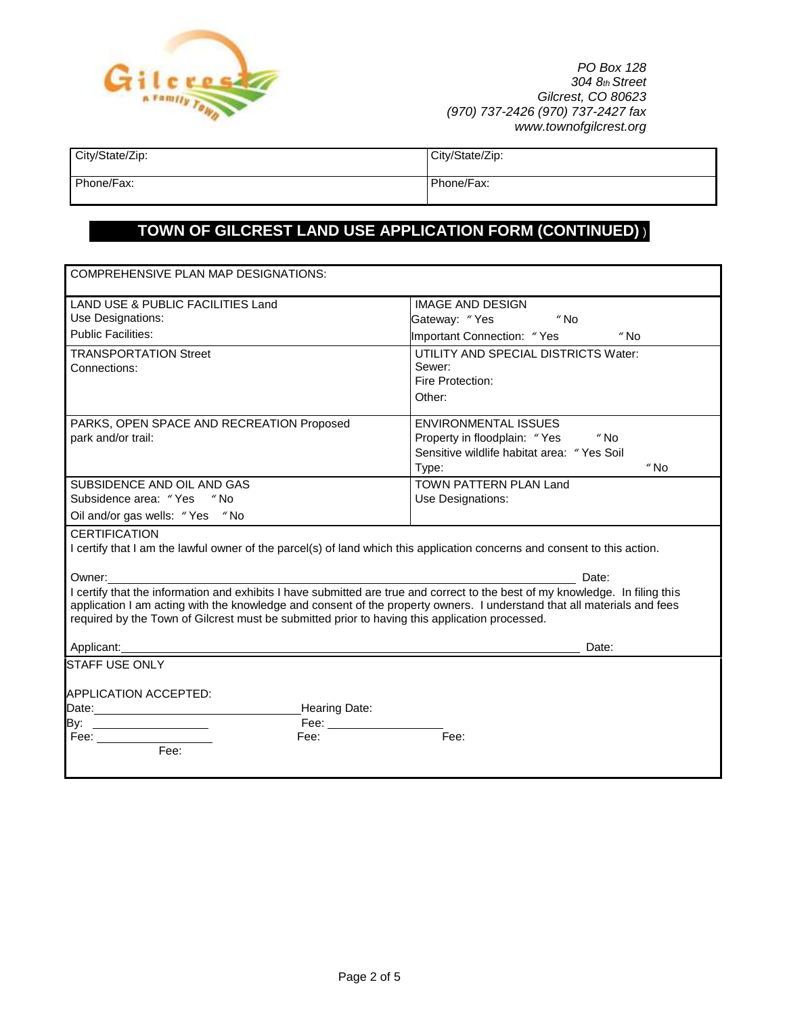

|  | City/State/Zip |  |
|--|----------------|--|
|--|----------------|--|

City/State/Zip: City/State/Zip:

Phone/Fax: Phone/Fax:

 $\overline{\phantom{a}}$ 

## ٦ **TOWN OF GILCREST LAND USE APPLICATION FORM (CONTINUED)** )

| <b>COMPREHENSIVE PLAN MAP DESIGNATIONS:</b>                                                                                                                                                                                                                                                                                                                |                                                      |  |  |  |  |
|------------------------------------------------------------------------------------------------------------------------------------------------------------------------------------------------------------------------------------------------------------------------------------------------------------------------------------------------------------|------------------------------------------------------|--|--|--|--|
| LAND USE & PUBLIC FACILITIES Land                                                                                                                                                                                                                                                                                                                          | <b>IMAGE AND DESIGN</b>                              |  |  |  |  |
| Use Designations:                                                                                                                                                                                                                                                                                                                                          | $\degree$ No<br>Gateway: "Yes                        |  |  |  |  |
| <b>Public Facilities:</b>                                                                                                                                                                                                                                                                                                                                  | Important Connection: "Yes<br>$\alpha$ No            |  |  |  |  |
| <b>TRANSPORTATION Street</b>                                                                                                                                                                                                                                                                                                                               | UTILITY AND SPECIAL DISTRICTS Water:                 |  |  |  |  |
| Connections:                                                                                                                                                                                                                                                                                                                                               | Sewer:                                               |  |  |  |  |
|                                                                                                                                                                                                                                                                                                                                                            | Fire Protection:                                     |  |  |  |  |
|                                                                                                                                                                                                                                                                                                                                                            | Other:                                               |  |  |  |  |
| PARKS, OPEN SPACE AND RECREATION Proposed                                                                                                                                                                                                                                                                                                                  | <b>ENVIRONMENTAL ISSUES</b>                          |  |  |  |  |
| park and/or trail:                                                                                                                                                                                                                                                                                                                                         | Property in floodplain: "Yes<br>$^{\prime\prime}$ No |  |  |  |  |
|                                                                                                                                                                                                                                                                                                                                                            | Sensitive wildlife habitat area: "Yes Soil           |  |  |  |  |
|                                                                                                                                                                                                                                                                                                                                                            | $\degree$ No<br>Type:                                |  |  |  |  |
| SUBSIDENCE AND OIL AND GAS                                                                                                                                                                                                                                                                                                                                 | TOWN PATTERN PLAN Land                               |  |  |  |  |
| Subsidence area: "Yes "No                                                                                                                                                                                                                                                                                                                                  | Use Designations:                                    |  |  |  |  |
| Oil and/or gas wells: "Yes "No                                                                                                                                                                                                                                                                                                                             |                                                      |  |  |  |  |
| <b>CERTIFICATION</b><br>I certify that I am the lawful owner of the parcel(s) of land which this application concerns and consent to this action.                                                                                                                                                                                                          |                                                      |  |  |  |  |
| Owner:                                                                                                                                                                                                                                                                                                                                                     | Date:                                                |  |  |  |  |
| I certify that the information and exhibits I have submitted are true and correct to the best of my knowledge. In filing this<br>application I am acting with the knowledge and consent of the property owners. I understand that all materials and fees<br>required by the Town of Gilcrest must be submitted prior to having this application processed. |                                                      |  |  |  |  |
| Applicant:                                                                                                                                                                                                                                                                                                                                                 | Date:                                                |  |  |  |  |
| <b>STAFF USE ONLY</b>                                                                                                                                                                                                                                                                                                                                      |                                                      |  |  |  |  |
|                                                                                                                                                                                                                                                                                                                                                            |                                                      |  |  |  |  |
| APPLICATION ACCEPTED:                                                                                                                                                                                                                                                                                                                                      |                                                      |  |  |  |  |
| Hearing Date:<br>Fee: _____________<br>By: __________________________                                                                                                                                                                                                                                                                                      |                                                      |  |  |  |  |
| Fee:                                                                                                                                                                                                                                                                                                                                                       | Fee:                                                 |  |  |  |  |
| $\begin{tabular}{l} \bf  \, \, \color{red}\text{Fee:} \color{red}\, \, \color{red}\text{Oe:} \color{red}\, \, \color{red}\text{Oe:} \color{red}\, \end{tabular}$                                                                                                                                                                                           |                                                      |  |  |  |  |
|                                                                                                                                                                                                                                                                                                                                                            |                                                      |  |  |  |  |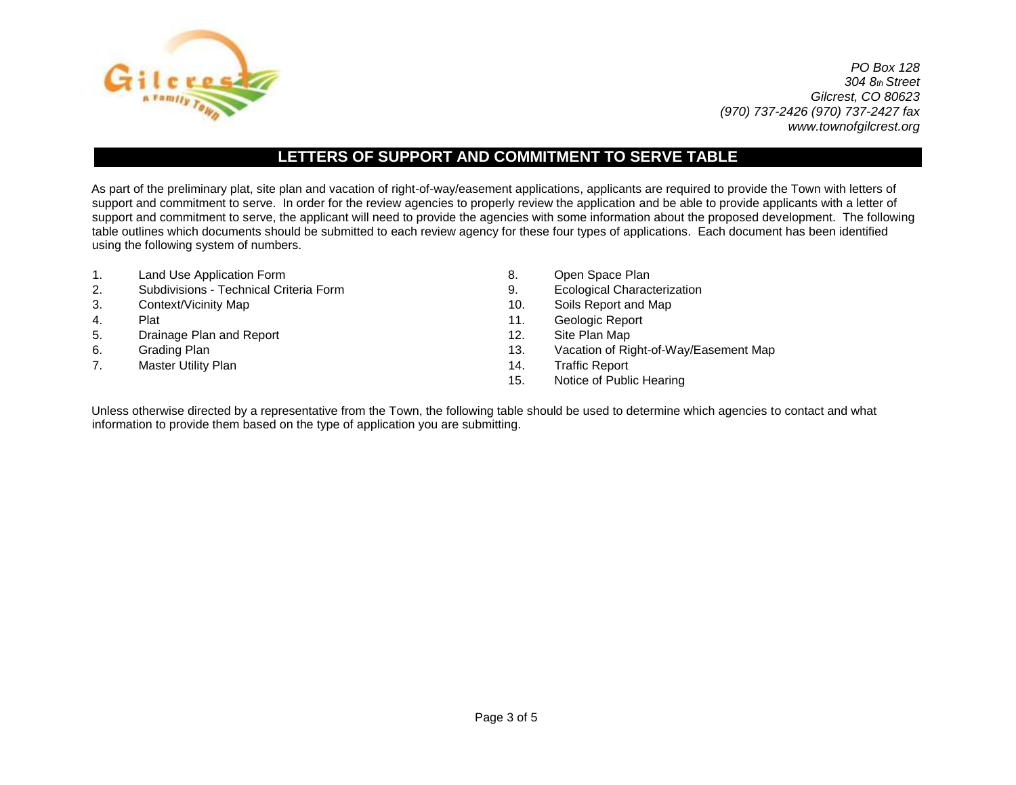

*PO Box 128 304 8th Street Gilcrest, CO 80623 (970) 737-2426 (970) 737-2427 fax www.townofgilcrest.org*

## **LETTERS OF SUPPORT AND COMMITMENT TO SERVE TABLE**

As part of the preliminary plat, site plan and vacation of right-of-way/easement applications, applicants are required to provide the Town with letters of support and commitment to serve. In order for the review agencies to properly review the application and be able to provide applicants with a letter of support and commitment to serve, the applicant will need to provide the agencies with some information about the proposed development. The following table outlines which documents should be submitted to each review agency for these four types of applications. Each document has been identified using the following system of numbers.

- 1. Land Use Application Form **8.** Open Space Plan
- 2. Subdivisions Technical Criteria Form 9. Ecological Characterization
- 3. Context/Vicinity Map 10. Soils Report and Map
- 

Ī

- 5. Drainage Plan and Report 12. Site Plan Map
- 
- 7. Master Utility Plan 14. Traffic Report
- 
- 
- 
- 4. Plat 11. Geologic Report
	-
- 6. Grading Plan 13. Grading Plan 13. Grading Plan 13. Grading Plan 13. Grading Plan 13. Grading Plan 13. Grading Plan 13. Grading 13. Grading Plan 13. Grading Plan 13. Grading Plan 13. Grading Plan 13. Grading Plan 13. Gra
	-
	- 15. Notice of Public Hearing

Unless otherwise directed by a representative from the Town, the following table should be used to determine which agencies to contact and what information to provide them based on the type of application you are submitting.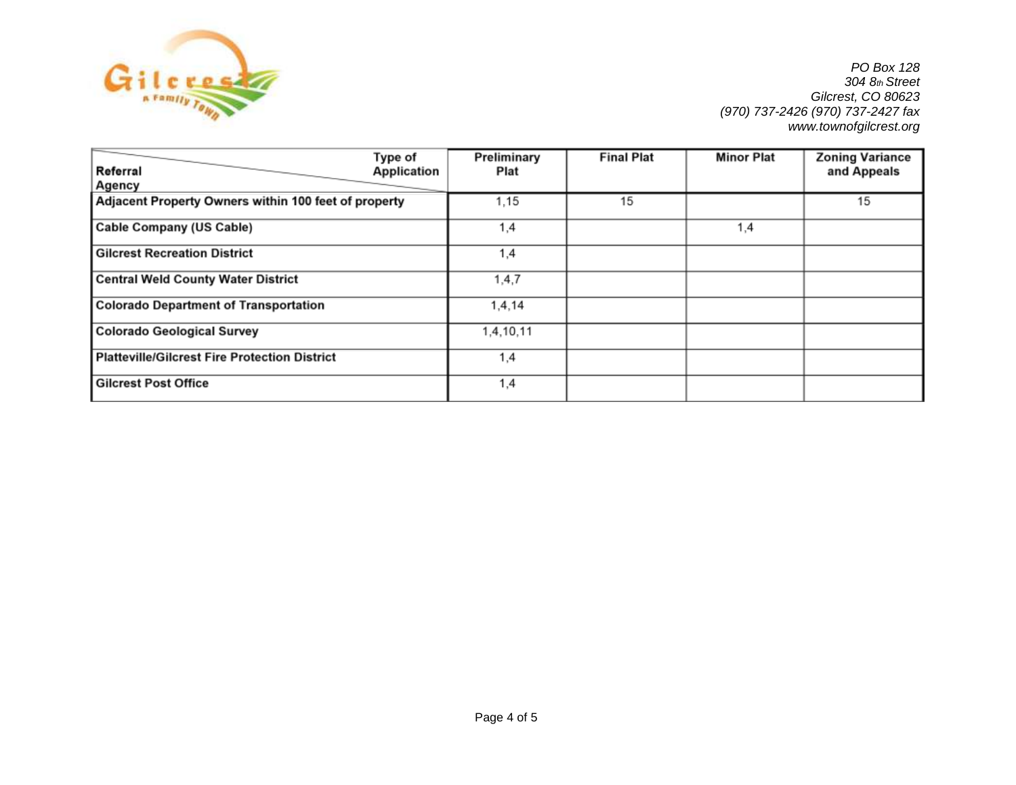

*PO Box 128 304 8th Street Gilcrest, CO 80623 (970) 737-2426 (970) 737-2427 fax www.townofgilcrest.org*

| Referral                                             | Type of<br><b>Application</b> | Preliminary<br>Plat | <b>Final Plat</b> | <b>Minor Plat</b> | <b>Zoning Variance</b><br>and Appeals |
|------------------------------------------------------|-------------------------------|---------------------|-------------------|-------------------|---------------------------------------|
| Agency                                               |                               |                     |                   |                   |                                       |
| Adjacent Property Owners within 100 feet of property |                               | 1,15                | 15                |                   | 15                                    |
| Cable Company (US Cable)                             |                               | 1,4                 |                   | 1,4               |                                       |
| <b>Gilcrest Recreation District</b>                  |                               | 1,4                 |                   |                   |                                       |
| <b>Central Weld County Water District</b>            |                               | 1, 4, 7             |                   |                   |                                       |
| <b>Colorado Department of Transportation</b>         |                               | 1,4,14              |                   |                   |                                       |
| <b>Colorado Geological Survey</b>                    |                               | 1,4,10,11           |                   |                   |                                       |
| <b>Platteville/Gilcrest Fire Protection District</b> |                               | 1,4                 |                   |                   |                                       |
| <b>Gilcrest Post Office</b>                          |                               | 1,4                 |                   |                   |                                       |